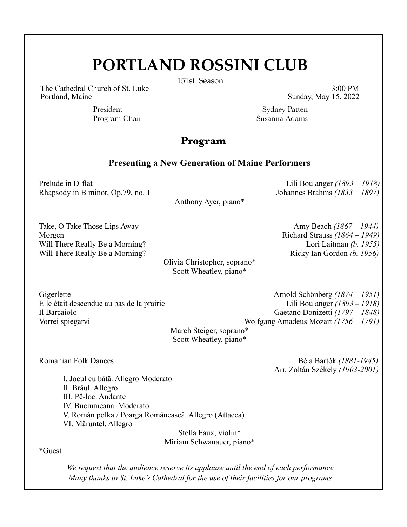## **PORTLAND ROSSINI CLUB**

151st Season

The Cathedral Church of St. Luke 3:00 PM Portland, Maine Sunday, May 15, 2022

President Sydney Patten Program Chair Susanna Adams

## **Program**

## **Presenting a New Generation of Maine Performers**

Prelude in D-flat Lili Boulanger *(1893 – 1918)* Rhapsody in B minor, Op.79, no. 1 Johannes Brahms *(1833 – 1897)*

Anthony Ayer, piano\*

Take, O Take Those Lips Away **Amy Beach** (1867 – 1944) Morgen Richard Strauss *(1864 – 1949)*  Will There Really Be a Morning?<br>
Lori Laitman (b. 1955) Will There Really Be a Morning?<br>
Ricky Ian Gordon *(b. 1956)* 

Olivia Christopher, soprano\* Scott Wheatley, piano\*

Gigerlette Arnold Schönberg *(1874 – 1951)* Elle était descendue au bas de la prairie Lili Boulanger *(1893 – 1918)* Il Barcaiolo Gaetano Donizetti *(1797 – 1848)*  Vorrei spiegarvi Wolfgang Amadeus Mozart *(1756 – 1791)*

March Steiger, soprano\* Scott Wheatley, piano\*

Romanian Folk Dances Béla Bartόk *(1881-1945)* Arr. Zoltán Székely *(1903-2001)*

I. Jocul cu bâtă. Allegro Moderato II. Brâul. Allegro III. Pê-loc. Andante IV. Buciumeana. Moderato V. Román polka / Poarga Românească. Allegro (Attacca) VI. Mărunțel. Allegro

Stella Faux, violin\* Miriam Schwanauer, piano\*

\*Guest

*We request that the audience reserve its applause until the end of each performance Many thanks to St. Luke's Cathedral for the use of their facilities for our programs*